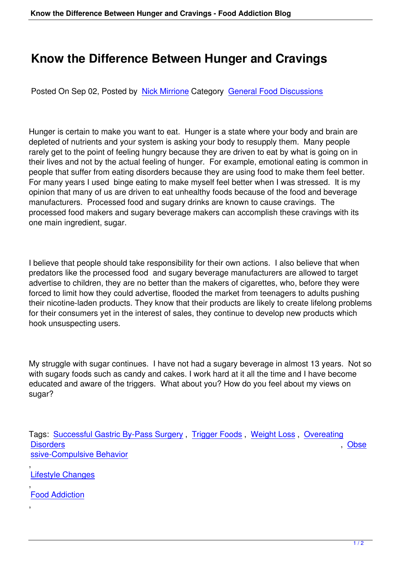## **Know the Difference Between Hunger and Cravings**

Posted On Sep 02, Posted by Nick Mirrione Category General Food Discussions

Hunger is certain to make you [want to eat. H](/index.php?option=com_easyblog&view=blogger&layout=listings&id=63&Itemid=59)unger is a [state where your body and](/index.php?option=com_easyblog&view=categories&layout=listings&id=1&Itemid=59) brain are depleted of nutrients and your system is asking your body to resupply them. Many people rarely get to the point of feeling hungry because they are driven to eat by what is going on in their lives and not by the actual feeling of hunger. For example, emotional eating is common in people that suffer from eating disorders because they are using food to make them feel better. For many years I used binge eating to make myself feel better when I was stressed. It is my opinion that many of us are driven to eat unhealthy foods because of the food and beverage manufacturers. Processed food and sugary drinks are known to cause cravings. The processed food makers and sugary beverage makers can accomplish these cravings with its one main ingredient, sugar.

I believe that people should take responsibility for their own actions. I also believe that when predators like the processed food and sugary beverage manufacturers are allowed to target advertise to children, they are no better than the makers of cigarettes, who, before they were forced to limit how they could advertise, flooded the market from teenagers to adults pushing their nicotine-laden products. They know that their products are likely to create lifelong problems for their consumers yet in the interest of sales, they continue to develop new products which hook unsuspecting users.

My struggle with sugar continues. I have not had a sugary beverage in almost 13 years. Not so with sugary foods such as candy and cakes. I work hard at it all the time and I have become educated and aware of the triggers. What about you? How do you feel about my views on sugar?

Tags: Successful Gastric By-Pass Surgery , Trigger Foods , Weight Loss , Overeating Disorders , Obse ssive-Compulsive Behavior

, [Lifestyle C](/index.php?option=com_easyblog&view=tags&layout=tag&id=6&Itemid=59)[hanges](/index.php?option=com_easyblog&view=tags&layout=tag&id=7&Itemid=59)

, [Food Addiction](/index.php?option=com_easyblog&view=tags&layout=tag&id=11&Itemid=59)

[,](/index.php?option=com_easyblog&view=tags&layout=tag&id=13&Itemid=59)